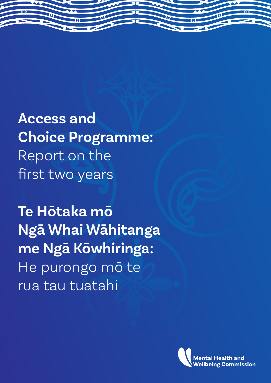**Access and Choice Programme:** Report on the first two years

**Te Hōtaka mō Ngā Whai Wāhitanga me Ngā Kōwhiringa:**  He purongo mō te rua tau tuatahi

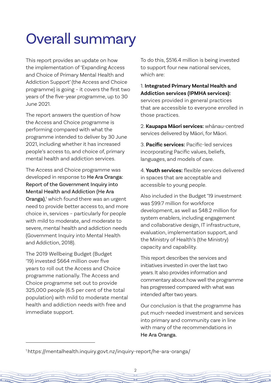# Overall summary

This report provides an update on how the implementation of 'Expanding Access and Choice of Primary Mental Health and Addiction Support' (the Access and Choice programme) is going – it covers the first two years of the five-year programme, up to 30 June 2021.

The report answers the question of how the Access and Choice programme is performing compared with what the programme intended to deliver by 30 June 2021, including whether it has increased people's access to, and choice of, primary mental health and addiction services.

The Access and Choice programme was developed in response to He Ara Oranga: Report of the Government Inquiry into Mental Health and Addiction (He Ara Oranga),<sup>1</sup> which found there was an urgent need to provide better access to, and more choice in, services – particularly for people with mild to moderate, and moderate to severe, mental health and addiction needs (Government Inquiry into Mental Health and Addiction, 2018).

The 2019 Wellbeing Budget (Budget '19) invested \$664 million over five years to roll out the Access and Choice programme nationally. The Access and Choice programme set out to provide 325,000 people (6.5 per cent of the total population) with mild to moderate mental health and addiction needs with free and immediate support.

To do this, \$516.4 million is being invested to support four new national services, which are:

1. **Integrated Primary Mental Health and Addiction services (IPMHA services):** services provided in general practices

that are accessible to everyone enrolled in those practices.

2. **Kaupapa Māori services:** whānau-centred services delivered by Māori, for Māori.

3. **Pacific services:** Pacific-led services incorporating Pacific values, beliefs, languages, and models of care.

4. **Youth services:** flexible services delivered in spaces that are acceptable and accessible to young people.

Also included in the Budget '19 investment was \$99.7 million for workforce development, as well as \$48.2 million for system enablers, including engagement and collaborative design, IT infrastructure, evaluation, implementation support, and the Ministry of Health's (the Ministry) capacity and capability.

This report describes the services and initiatives invested in over the last two years. It also provides information and commentary about how well the programme has progressed compared with what was intended after two years.

Our conclusion is that the programme has put much-needed investment and services into primary and community care in line with many of the recommendations in He Ara Oranga.

[1 https://mentalhealth.inquiry.govt.nz/inquiry-report/he-ara-oranga/](https://mentalhealth.inquiry.govt.nz/inquiry-report/he-ara-oranga/)

2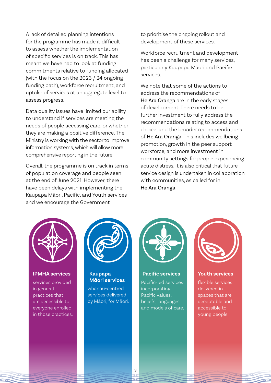A lack of detailed planning intentions for the programme has made it difficult to assess whether the implementation of specific services is on track. This has meant we have had to look at funding commitments relative to funding allocated (with the focus on the 2023 / 24 ongoing funding path), workforce recruitment, and uptake of services at an aggregate level to assess progress.

Data quality issues have limited our ability to understand if services are meeting the needs of people accessing care, or whether they are making a positive difference. The Ministry is working with the sector to improve information systems, which will allow more comprehensive reporting in the future.

Overall, the programme is on track in terms of population coverage and people seen at the end of June 2021. However, there have been delays with implementing the Kaupapa Māori, Pacific, and Youth services and we encourage the Government

to prioritise the ongoing rollout and development of these services.

Workforce recruitment and development has been a challenge for many services, particularly Kaupapa Māori and Pacific services.

We note that some of the actions to address the recommendations of He Ara Oranga are in the early stages of development. There needs to be further investment to fully address the recommendations relating to access and choice, and the broader recommendations of He Ara Oranga. This includes wellbeing promotion, growth in the peer support workforce, and more investment in community settings for people experiencing acute distress. It is also critical that future service design is undertaken in collaboration with communities, as called for in He Ara Oranga.



## **IPMHA services Kaupapa**

services provided in general practices that are accessible to everyone enrolled in those practices.



## **Māori services**

whānau-centred services delivered by Māori, for Māori.



Pacific-led services incorporating Pacific values, beliefs, languages, and models of care.



### **Pacific services Youth services**

flexible services delivered in spaces that are acceptable and accessible to young people.

3